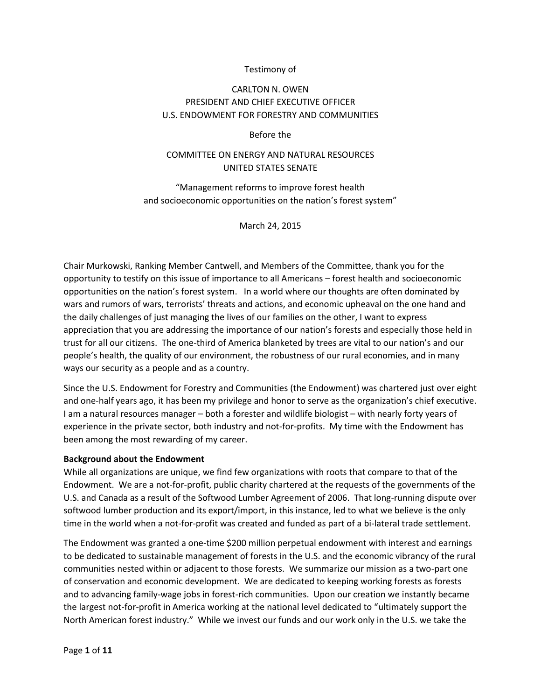## Testimony of

# CARLTON N. OWEN PRESIDENT AND CHIEF EXECUTIVE OFFICER U.S. ENDOWMENT FOR FORESTRY AND COMMUNITIES

#### Before the

# COMMITTEE ON ENERGY AND NATURAL RESOURCES UNITED STATES SENATE

"Management reforms to improve forest health and socioeconomic opportunities on the nation's forest system"

March 24, 2015

Chair Murkowski, Ranking Member Cantwell, and Members of the Committee, thank you for the opportunity to testify on this issue of importance to all Americans – forest health and socioeconomic opportunities on the nation's forest system. In a world where our thoughts are often dominated by wars and rumors of wars, terrorists' threats and actions, and economic upheaval on the one hand and the daily challenges of just managing the lives of our families on the other, I want to express appreciation that you are addressing the importance of our nation's forests and especially those held in trust for all our citizens. The one-third of America blanketed by trees are vital to our nation's and our people's health, the quality of our environment, the robustness of our rural economies, and in many ways our security as a people and as a country.

Since the U.S. Endowment for Forestry and Communities (the Endowment) was chartered just over eight and one-half years ago, it has been my privilege and honor to serve as the organization's chief executive. I am a natural resources manager – both a forester and wildlife biologist – with nearly forty years of experience in the private sector, both industry and not-for-profits. My time with the Endowment has been among the most rewarding of my career.

#### **Background about the Endowment**

While all organizations are unique, we find few organizations with roots that compare to that of the Endowment. We are a not-for-profit, public charity chartered at the requests of the governments of the U.S. and Canada as a result of the Softwood Lumber Agreement of 2006. That long-running dispute over softwood lumber production and its export/import, in this instance, led to what we believe is the only time in the world when a not-for-profit was created and funded as part of a bi-lateral trade settlement.

The Endowment was granted a one-time \$200 million perpetual endowment with interest and earnings to be dedicated to sustainable management of forests in the U.S. and the economic vibrancy of the rural communities nested within or adjacent to those forests. We summarize our mission as a two-part one of conservation and economic development. We are dedicated to keeping working forests as forests and to advancing family-wage jobs in forest-rich communities. Upon our creation we instantly became the largest not-for-profit in America working at the national level dedicated to "ultimately support the North American forest industry." While we invest our funds and our work only in the U.S. we take the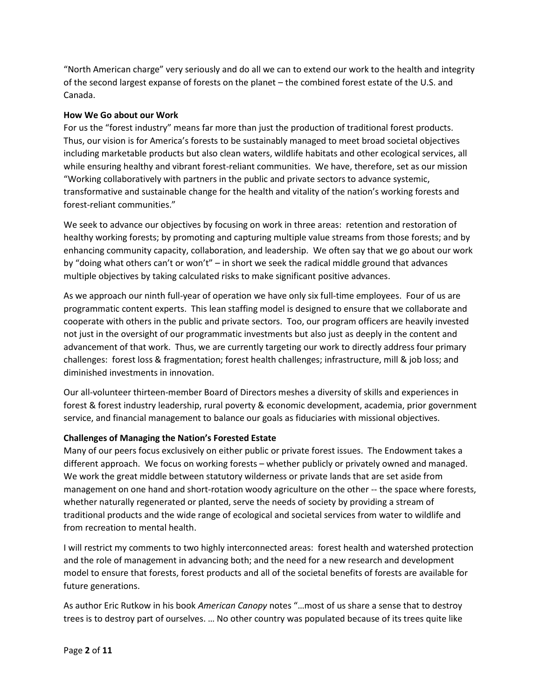"North American charge" very seriously and do all we can to extend our work to the health and integrity of the second largest expanse of forests on the planet – the combined forest estate of the U.S. and Canada.

## **How We Go about our Work**

For us the "forest industry" means far more than just the production of traditional forest products. Thus, our vision is for America's forests to be sustainably managed to meet broad societal objectives including marketable products but also clean waters, wildlife habitats and other ecological services, all while ensuring healthy and vibrant forest-reliant communities. We have, therefore, set as our mission "Working collaboratively with partners in the public and private sectors to advance systemic, transformative and sustainable change for the health and vitality of the nation's working forests and forest-reliant communities."

We seek to advance our objectives by focusing on work in three areas: retention and restoration of healthy working forests; by promoting and capturing multiple value streams from those forests; and by enhancing community capacity, collaboration, and leadership. We often say that we go about our work by "doing what others can't or won't" – in short we seek the radical middle ground that advances multiple objectives by taking calculated risks to make significant positive advances.

As we approach our ninth full-year of operation we have only six full-time employees. Four of us are programmatic content experts. This lean staffing model is designed to ensure that we collaborate and cooperate with others in the public and private sectors. Too, our program officers are heavily invested not just in the oversight of our programmatic investments but also just as deeply in the content and advancement of that work. Thus, we are currently targeting our work to directly address four primary challenges: forest loss & fragmentation; forest health challenges; infrastructure, mill & job loss; and diminished investments in innovation.

Our all-volunteer thirteen-member Board of Directors meshes a diversity of skills and experiences in forest & forest industry leadership, rural poverty & economic development, academia, prior government service, and financial management to balance our goals as fiduciaries with missional objectives.

## **Challenges of Managing the Nation's Forested Estate**

Many of our peers focus exclusively on either public or private forest issues. The Endowment takes a different approach. We focus on working forests – whether publicly or privately owned and managed. We work the great middle between statutory wilderness or private lands that are set aside from management on one hand and short-rotation woody agriculture on the other -- the space where forests, whether naturally regenerated or planted, serve the needs of society by providing a stream of traditional products and the wide range of ecological and societal services from water to wildlife and from recreation to mental health.

I will restrict my comments to two highly interconnected areas: forest health and watershed protection and the role of management in advancing both; and the need for a new research and development model to ensure that forests, forest products and all of the societal benefits of forests are available for future generations.

As author Eric Rutkow in his book *American Canopy* notes "…most of us share a sense that to destroy trees is to destroy part of ourselves. … No other country was populated because of its trees quite like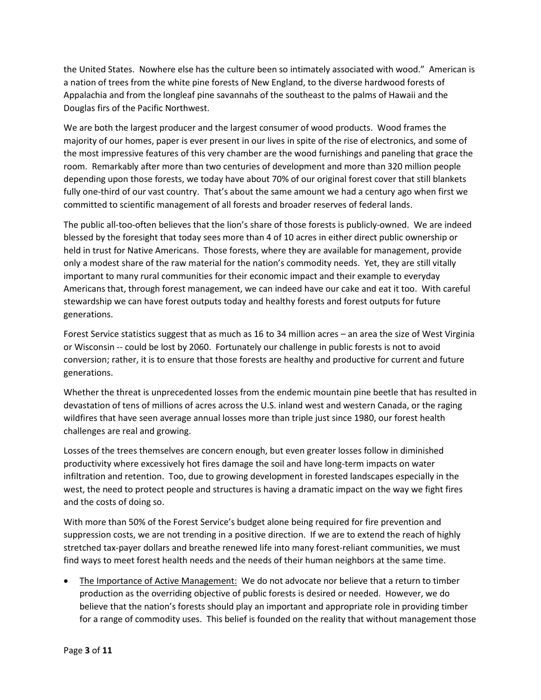the United States. Nowhere else has the culture been so intimately associated with wood." American is a nation of trees from the white pine forests of New England, to the diverse hardwood forests of Appalachia and from the longleaf pine savannahs of the southeast to the palms of Hawaii and the Douglas firs of the Pacific Northwest.

We are both the largest producer and the largest consumer of wood products. Wood frames the majority of our homes, paper is ever present in our lives in spite of the rise of electronics, and some of the most impressive features of this very chamber are the wood furnishings and paneling that grace the room. Remarkably after more than two centuries of development and more than 320 million people depending upon those forests, we today have about 70% of our original forest cover that still blankets fully one-third of our vast country. That's about the same amount we had a century ago when first we committed to scientific management of all forests and broader reserves of federal lands.

The public all-too-often believes that the lion's share of those forests is publicly-owned. We are indeed blessed by the foresight that today sees more than 4 of 10 acres in either direct public ownership or held in trust for Native Americans. Those forests, where they are available for management, provide only a modest share of the raw material for the nation's commodity needs. Yet, they are still vitally important to many rural communities for their economic impact and their example to everyday Americans that, through forest management, we can indeed have our cake and eat it too. With careful stewardship we can have forest outputs today and healthy forests and forest outputs for future generations.

Forest Service statistics suggest that as much as 16 to 34 million acres – an area the size of West Virginia or Wisconsin -- could be lost by 2060. Fortunately our challenge in public forests is not to avoid conversion; rather, it is to ensure that those forests are healthy and productive for current and future generations.

Whether the threat is unprecedented losses from the endemic mountain pine beetle that has resulted in devastation of tens of millions of acres across the U.S. inland west and western Canada, or the raging wildfires that have seen average annual losses more than triple just since 1980, our forest health challenges are real and growing.

Losses of the trees themselves are concern enough, but even greater losses follow in diminished productivity where excessively hot fires damage the soil and have long-term impacts on water infiltration and retention. Too, due to growing development in forested landscapes especially in the west, the need to protect people and structures is having a dramatic impact on the way we fight fires and the costs of doing so.

With more than 50% of the Forest Service's budget alone being required for fire prevention and suppression costs, we are not trending in a positive direction. If we are to extend the reach of highly stretched tax-payer dollars and breathe renewed life into many forest-reliant communities, we must find ways to meet forest health needs and the needs of their human neighbors at the same time.

 The Importance of Active Management: We do not advocate nor believe that a return to timber production as the overriding objective of public forests is desired or needed. However, we do believe that the nation's forests should play an important and appropriate role in providing timber for a range of commodity uses. This belief is founded on the reality that without management those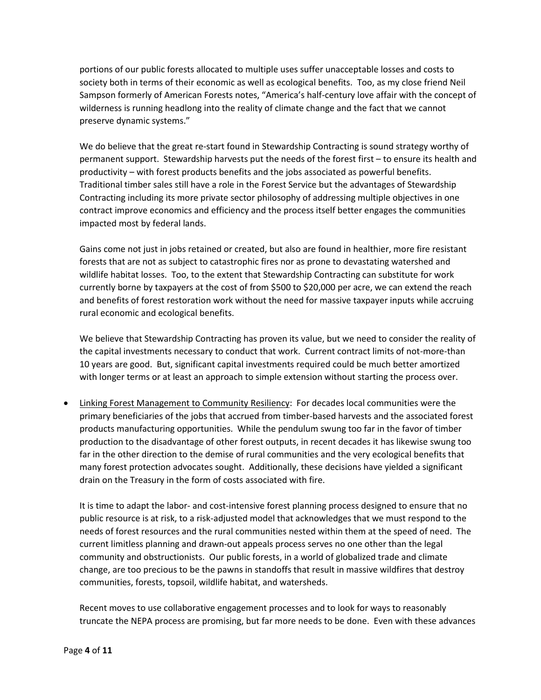portions of our public forests allocated to multiple uses suffer unacceptable losses and costs to society both in terms of their economic as well as ecological benefits. Too, as my close friend Neil Sampson formerly of American Forests notes, "America's half-century love affair with the concept of wilderness is running headlong into the reality of climate change and the fact that we cannot preserve dynamic systems."

We do believe that the great re-start found in Stewardship Contracting is sound strategy worthy of permanent support. Stewardship harvests put the needs of the forest first – to ensure its health and productivity – with forest products benefits and the jobs associated as powerful benefits. Traditional timber sales still have a role in the Forest Service but the advantages of Stewardship Contracting including its more private sector philosophy of addressing multiple objectives in one contract improve economics and efficiency and the process itself better engages the communities impacted most by federal lands.

Gains come not just in jobs retained or created, but also are found in healthier, more fire resistant forests that are not as subject to catastrophic fires nor as prone to devastating watershed and wildlife habitat losses. Too, to the extent that Stewardship Contracting can substitute for work currently borne by taxpayers at the cost of from \$500 to \$20,000 per acre, we can extend the reach and benefits of forest restoration work without the need for massive taxpayer inputs while accruing rural economic and ecological benefits.

We believe that Stewardship Contracting has proven its value, but we need to consider the reality of the capital investments necessary to conduct that work. Current contract limits of not-more-than 10 years are good. But, significant capital investments required could be much better amortized with longer terms or at least an approach to simple extension without starting the process over.

• Linking Forest Management to Community Resiliency: For decades local communities were the primary beneficiaries of the jobs that accrued from timber-based harvests and the associated forest products manufacturing opportunities. While the pendulum swung too far in the favor of timber production to the disadvantage of other forest outputs, in recent decades it has likewise swung too far in the other direction to the demise of rural communities and the very ecological benefits that many forest protection advocates sought. Additionally, these decisions have yielded a significant drain on the Treasury in the form of costs associated with fire.

It is time to adapt the labor- and cost-intensive forest planning process designed to ensure that no public resource is at risk, to a risk-adjusted model that acknowledges that we must respond to the needs of forest resources and the rural communities nested within them at the speed of need. The current limitless planning and drawn-out appeals process serves no one other than the legal community and obstructionists. Our public forests, in a world of globalized trade and climate change, are too precious to be the pawns in standoffs that result in massive wildfires that destroy communities, forests, topsoil, wildlife habitat, and watersheds.

Recent moves to use collaborative engagement processes and to look for ways to reasonably truncate the NEPA process are promising, but far more needs to be done. Even with these advances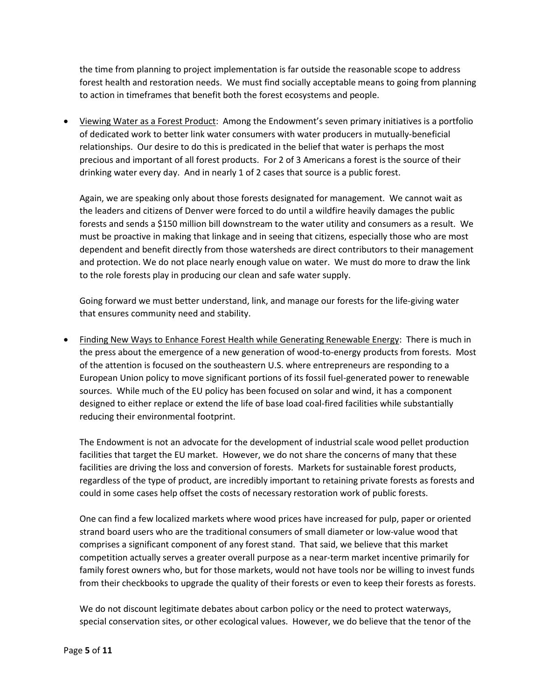the time from planning to project implementation is far outside the reasonable scope to address forest health and restoration needs. We must find socially acceptable means to going from planning to action in timeframes that benefit both the forest ecosystems and people.

 Viewing Water as a Forest Product: Among the Endowment's seven primary initiatives is a portfolio of dedicated work to better link water consumers with water producers in mutually-beneficial relationships. Our desire to do this is predicated in the belief that water is perhaps the most precious and important of all forest products. For 2 of 3 Americans a forest is the source of their drinking water every day. And in nearly 1 of 2 cases that source is a public forest.

Again, we are speaking only about those forests designated for management. We cannot wait as the leaders and citizens of Denver were forced to do until a wildfire heavily damages the public forests and sends a \$150 million bill downstream to the water utility and consumers as a result. We must be proactive in making that linkage and in seeing that citizens, especially those who are most dependent and benefit directly from those watersheds are direct contributors to their management and protection. We do not place nearly enough value on water. We must do more to draw the link to the role forests play in producing our clean and safe water supply.

Going forward we must better understand, link, and manage our forests for the life-giving water that ensures community need and stability.

• Finding New Ways to Enhance Forest Health while Generating Renewable Energy: There is much in the press about the emergence of a new generation of wood-to-energy products from forests. Most of the attention is focused on the southeastern U.S. where entrepreneurs are responding to a European Union policy to move significant portions of its fossil fuel-generated power to renewable sources. While much of the EU policy has been focused on solar and wind, it has a component designed to either replace or extend the life of base load coal-fired facilities while substantially reducing their environmental footprint.

The Endowment is not an advocate for the development of industrial scale wood pellet production facilities that target the EU market. However, we do not share the concerns of many that these facilities are driving the loss and conversion of forests. Markets for sustainable forest products, regardless of the type of product, are incredibly important to retaining private forests as forests and could in some cases help offset the costs of necessary restoration work of public forests.

One can find a few localized markets where wood prices have increased for pulp, paper or oriented strand board users who are the traditional consumers of small diameter or low-value wood that comprises a significant component of any forest stand. That said, we believe that this market competition actually serves a greater overall purpose as a near-term market incentive primarily for family forest owners who, but for those markets, would not have tools nor be willing to invest funds from their checkbooks to upgrade the quality of their forests or even to keep their forests as forests.

We do not discount legitimate debates about carbon policy or the need to protect waterways, special conservation sites, or other ecological values. However, we do believe that the tenor of the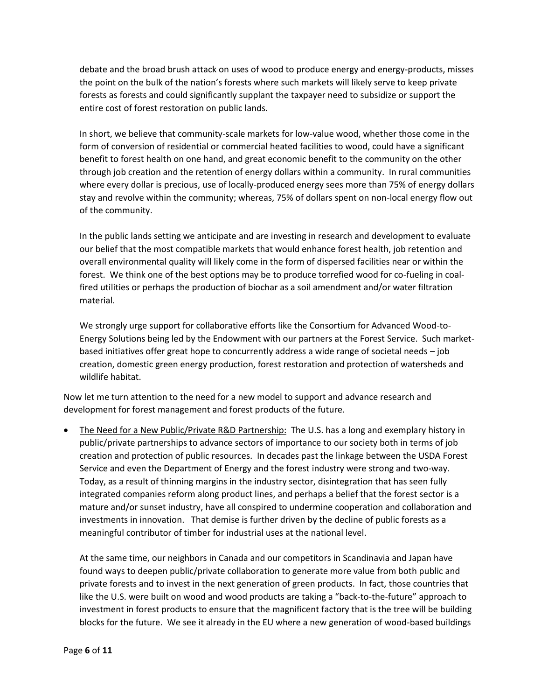debate and the broad brush attack on uses of wood to produce energy and energy-products, misses the point on the bulk of the nation's forests where such markets will likely serve to keep private forests as forests and could significantly supplant the taxpayer need to subsidize or support the entire cost of forest restoration on public lands.

In short, we believe that community-scale markets for low-value wood, whether those come in the form of conversion of residential or commercial heated facilities to wood, could have a significant benefit to forest health on one hand, and great economic benefit to the community on the other through job creation and the retention of energy dollars within a community. In rural communities where every dollar is precious, use of locally-produced energy sees more than 75% of energy dollars stay and revolve within the community; whereas, 75% of dollars spent on non-local energy flow out of the community.

In the public lands setting we anticipate and are investing in research and development to evaluate our belief that the most compatible markets that would enhance forest health, job retention and overall environmental quality will likely come in the form of dispersed facilities near or within the forest. We think one of the best options may be to produce torrefied wood for co-fueling in coalfired utilities or perhaps the production of biochar as a soil amendment and/or water filtration material.

We strongly urge support for collaborative efforts like the Consortium for Advanced Wood-to-Energy Solutions being led by the Endowment with our partners at the Forest Service. Such marketbased initiatives offer great hope to concurrently address a wide range of societal needs – job creation, domestic green energy production, forest restoration and protection of watersheds and wildlife habitat.

Now let me turn attention to the need for a new model to support and advance research and development for forest management and forest products of the future.

 The Need for a New Public/Private R&D Partnership: The U.S. has a long and exemplary history in public/private partnerships to advance sectors of importance to our society both in terms of job creation and protection of public resources. In decades past the linkage between the USDA Forest Service and even the Department of Energy and the forest industry were strong and two-way. Today, as a result of thinning margins in the industry sector, disintegration that has seen fully integrated companies reform along product lines, and perhaps a belief that the forest sector is a mature and/or sunset industry, have all conspired to undermine cooperation and collaboration and investments in innovation. That demise is further driven by the decline of public forests as a meaningful contributor of timber for industrial uses at the national level.

At the same time, our neighbors in Canada and our competitors in Scandinavia and Japan have found ways to deepen public/private collaboration to generate more value from both public and private forests and to invest in the next generation of green products. In fact, those countries that like the U.S. were built on wood and wood products are taking a "back-to-the-future" approach to investment in forest products to ensure that the magnificent factory that is the tree will be building blocks for the future. We see it already in the EU where a new generation of wood-based buildings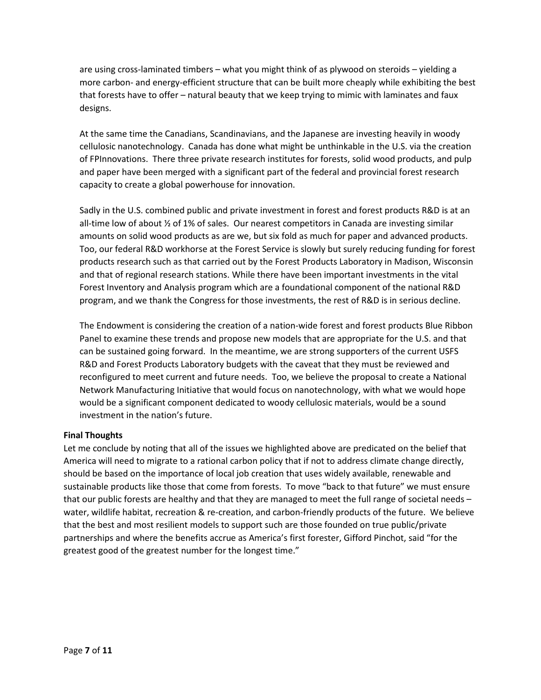are using cross-laminated timbers – what you might think of as plywood on steroids – yielding a more carbon- and energy-efficient structure that can be built more cheaply while exhibiting the best that forests have to offer – natural beauty that we keep trying to mimic with laminates and faux designs.

At the same time the Canadians, Scandinavians, and the Japanese are investing heavily in woody cellulosic nanotechnology. Canada has done what might be unthinkable in the U.S. via the creation of FPInnovations. There three private research institutes for forests, solid wood products, and pulp and paper have been merged with a significant part of the federal and provincial forest research capacity to create a global powerhouse for innovation.

Sadly in the U.S. combined public and private investment in forest and forest products R&D is at an all-time low of about ½ of 1% of sales. Our nearest competitors in Canada are investing similar amounts on solid wood products as are we, but six fold as much for paper and advanced products. Too, our federal R&D workhorse at the Forest Service is slowly but surely reducing funding for forest products research such as that carried out by the Forest Products Laboratory in Madison, Wisconsin and that of regional research stations. While there have been important investments in the vital Forest Inventory and Analysis program which are a foundational component of the national R&D program, and we thank the Congress for those investments, the rest of R&D is in serious decline.

The Endowment is considering the creation of a nation-wide forest and forest products Blue Ribbon Panel to examine these trends and propose new models that are appropriate for the U.S. and that can be sustained going forward. In the meantime, we are strong supporters of the current USFS R&D and Forest Products Laboratory budgets with the caveat that they must be reviewed and reconfigured to meet current and future needs. Too, we believe the proposal to create a National Network Manufacturing Initiative that would focus on nanotechnology, with what we would hope would be a significant component dedicated to woody cellulosic materials, would be a sound investment in the nation's future.

## **Final Thoughts**

Let me conclude by noting that all of the issues we highlighted above are predicated on the belief that America will need to migrate to a rational carbon policy that if not to address climate change directly, should be based on the importance of local job creation that uses widely available, renewable and sustainable products like those that come from forests. To move "back to that future" we must ensure that our public forests are healthy and that they are managed to meet the full range of societal needs – water, wildlife habitat, recreation & re-creation, and carbon-friendly products of the future. We believe that the best and most resilient models to support such are those founded on true public/private partnerships and where the benefits accrue as America's first forester, Gifford Pinchot, said "for the greatest good of the greatest number for the longest time."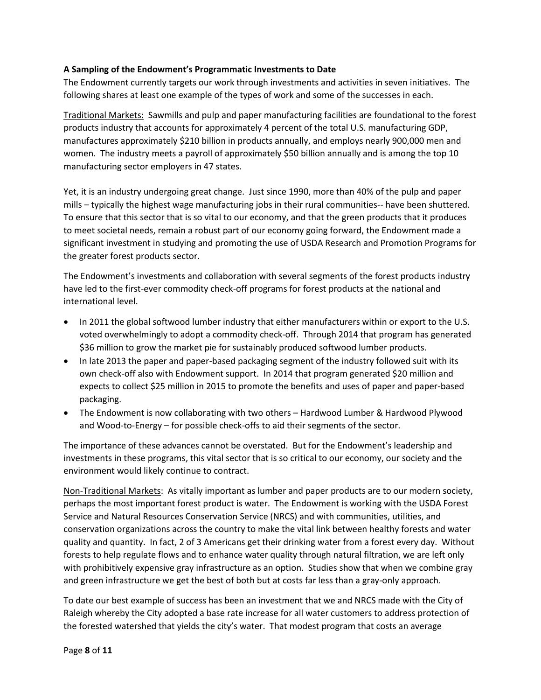## **A Sampling of the Endowment's Programmatic Investments to Date**

The Endowment currently targets our work through investments and activities in seven initiatives. The following shares at least one example of the types of work and some of the successes in each.

Traditional Markets: Sawmills and pulp and paper manufacturing facilities are foundational to the forest products industry that accounts for approximately 4 percent of the total U.S. manufacturing GDP, manufactures approximately \$210 billion in products annually, and employs nearly 900,000 men and women. The industry meets a payroll of approximately \$50 billion annually and is among the top 10 manufacturing sector employers in 47 states.

Yet, it is an industry undergoing great change. Just since 1990, more than 40% of the pulp and paper mills – typically the highest wage manufacturing jobs in their rural communities-- have been shuttered. To ensure that this sector that is so vital to our economy, and that the green products that it produces to meet societal needs, remain a robust part of our economy going forward, the Endowment made a significant investment in studying and promoting the use of USDA Research and Promotion Programs for the greater forest products sector.

The Endowment's investments and collaboration with several segments of the forest products industry have led to the first-ever commodity check-off programs for forest products at the national and international level.

- In 2011 the global softwood lumber industry that either manufacturers within or export to the U.S. voted overwhelmingly to adopt a commodity check-off. Through 2014 that program has generated \$36 million to grow the market pie for sustainably produced softwood lumber products.
- In late 2013 the paper and paper-based packaging segment of the industry followed suit with its own check-off also with Endowment support. In 2014 that program generated \$20 million and expects to collect \$25 million in 2015 to promote the benefits and uses of paper and paper-based packaging.
- The Endowment is now collaborating with two others Hardwood Lumber & Hardwood Plywood and Wood-to-Energy – for possible check-offs to aid their segments of the sector.

The importance of these advances cannot be overstated. But for the Endowment's leadership and investments in these programs, this vital sector that is so critical to our economy, our society and the environment would likely continue to contract.

Non-Traditional Markets: As vitally important as lumber and paper products are to our modern society, perhaps the most important forest product is water. The Endowment is working with the USDA Forest Service and Natural Resources Conservation Service (NRCS) and with communities, utilities, and conservation organizations across the country to make the vital link between healthy forests and water quality and quantity. In fact, 2 of 3 Americans get their drinking water from a forest every day. Without forests to help regulate flows and to enhance water quality through natural filtration, we are left only with prohibitively expensive gray infrastructure as an option. Studies show that when we combine gray and green infrastructure we get the best of both but at costs far less than a gray-only approach.

To date our best example of success has been an investment that we and NRCS made with the City of Raleigh whereby the City adopted a base rate increase for all water customers to address protection of the forested watershed that yields the city's water. That modest program that costs an average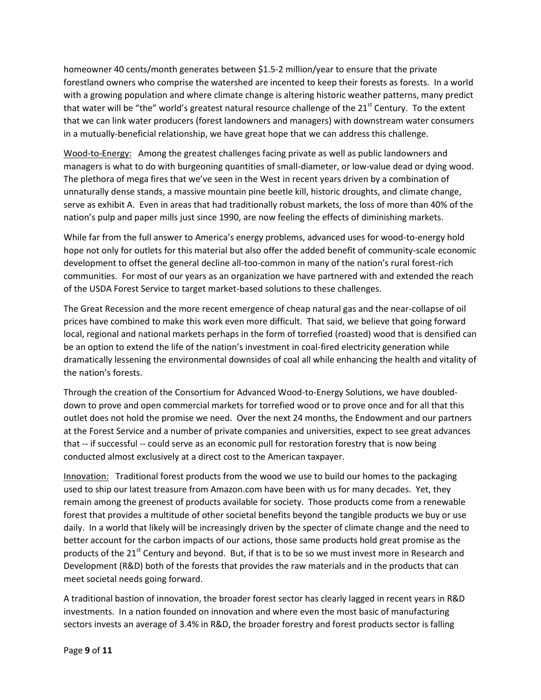homeowner 40 cents/month generates between \$1.5-2 million/year to ensure that the private forestland owners who comprise the watershed are incented to keep their forests as forests. In a world with a growing population and where climate change is altering historic weather patterns, many predict that water will be "the" world's greatest natural resource challenge of the  $21<sup>st</sup>$  Century. To the extent that we can link water producers (forest landowners and managers) with downstream water consumers in a mutually-beneficial relationship, we have great hope that we can address this challenge.

Wood-to-Energy: Among the greatest challenges facing private as well as public landowners and managers is what to do with burgeoning quantities of small-diameter, or low-value dead or dying wood. The plethora of mega fires that we've seen in the West in recent years driven by a combination of unnaturally dense stands, a massive mountain pine beetle kill, historic droughts, and climate change, serve as exhibit A. Even in areas that had traditionally robust markets, the loss of more than 40% of the nation's pulp and paper mills just since 1990, are now feeling the effects of diminishing markets.

While far from the full answer to America's energy problems, advanced uses for wood-to-energy hold hope not only for outlets for this material but also offer the added benefit of community-scale economic development to offset the general decline all-too-common in many of the nation's rural forest-rich communities. For most of our years as an organization we have partnered with and extended the reach of the USDA Forest Service to target market-based solutions to these challenges.

The Great Recession and the more recent emergence of cheap natural gas and the near-collapse of oil prices have combined to make this work even more difficult. That said, we believe that going forward local, regional and national markets perhaps in the form of torrefied (roasted) wood that is densified can be an option to extend the life of the nation's investment in coal-fired electricity generation while dramatically lessening the environmental downsides of coal all while enhancing the health and vitality of the nation's forests.

Through the creation of the Consortium for Advanced Wood-to-Energy Solutions, we have doubleddown to prove and open commercial markets for torrefied wood or to prove once and for all that this outlet does not hold the promise we need. Over the next 24 months, the Endowment and our partners at the Forest Service and a number of private companies and universities, expect to see great advances that -- if successful -- could serve as an economic pull for restoration forestry that is now being conducted almost exclusively at a direct cost to the American taxpayer.

Innovation: Traditional forest products from the wood we use to build our homes to the packaging used to ship our latest treasure from Amazon.com have been with us for many decades. Yet, they remain among the greenest of products available for society. Those products come from a renewable forest that provides a multitude of other societal benefits beyond the tangible products we buy or use daily. In a world that likely will be increasingly driven by the specter of climate change and the need to better account for the carbon impacts of our actions, those same products hold great promise as the products of the 21<sup>st</sup> Century and beyond. But, if that is to be so we must invest more in Research and Development (R&D) both of the forests that provides the raw materials and in the products that can meet societal needs going forward.

A traditional bastion of innovation, the broader forest sector has clearly lagged in recent years in R&D investments. In a nation founded on innovation and where even the most basic of manufacturing sectors invests an average of 3.4% in R&D, the broader forestry and forest products sector is falling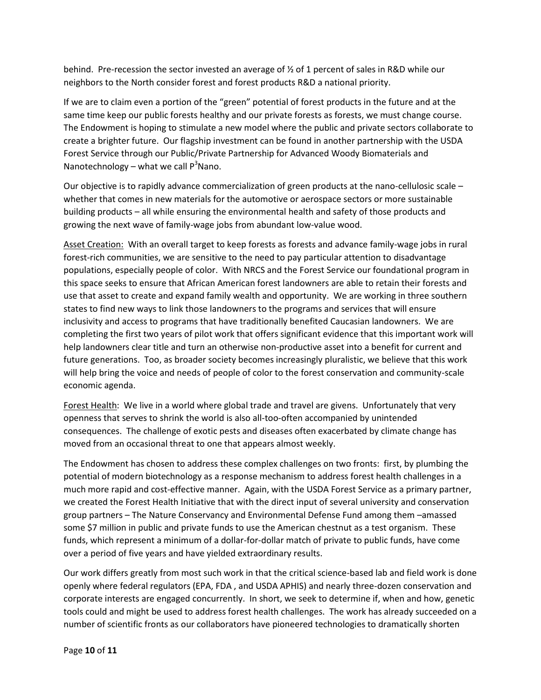behind. Pre-recession the sector invested an average of  $\frac{1}{2}$  of 1 percent of sales in R&D while our neighbors to the North consider forest and forest products R&D a national priority.

If we are to claim even a portion of the "green" potential of forest products in the future and at the same time keep our public forests healthy and our private forests as forests, we must change course. The Endowment is hoping to stimulate a new model where the public and private sectors collaborate to create a brighter future. Our flagship investment can be found in another partnership with the USDA Forest Service through our Public/Private Partnership for Advanced Woody Biomaterials and Nanotechnology – what we call  $P<sup>3</sup>Nano$ .

Our objective is to rapidly advance commercialization of green products at the nano-cellulosic scale – whether that comes in new materials for the automotive or aerospace sectors or more sustainable building products – all while ensuring the environmental health and safety of those products and growing the next wave of family-wage jobs from abundant low-value wood.

Asset Creation: With an overall target to keep forests as forests and advance family-wage jobs in rural forest-rich communities, we are sensitive to the need to pay particular attention to disadvantage populations, especially people of color. With NRCS and the Forest Service our foundational program in this space seeks to ensure that African American forest landowners are able to retain their forests and use that asset to create and expand family wealth and opportunity. We are working in three southern states to find new ways to link those landowners to the programs and services that will ensure inclusivity and access to programs that have traditionally benefited Caucasian landowners. We are completing the first two years of pilot work that offers significant evidence that this important work will help landowners clear title and turn an otherwise non-productive asset into a benefit for current and future generations. Too, as broader society becomes increasingly pluralistic, we believe that this work will help bring the voice and needs of people of color to the forest conservation and community-scale economic agenda.

Forest Health: We live in a world where global trade and travel are givens. Unfortunately that very openness that serves to shrink the world is also all-too-often accompanied by unintended consequences. The challenge of exotic pests and diseases often exacerbated by climate change has moved from an occasional threat to one that appears almost weekly.

The Endowment has chosen to address these complex challenges on two fronts: first, by plumbing the potential of modern biotechnology as a response mechanism to address forest health challenges in a much more rapid and cost-effective manner. Again, with the USDA Forest Service as a primary partner, we created the Forest Health Initiative that with the direct input of several university and conservation group partners – The Nature Conservancy and Environmental Defense Fund among them –amassed some \$7 million in public and private funds to use the American chestnut as a test organism. These funds, which represent a minimum of a dollar-for-dollar match of private to public funds, have come over a period of five years and have yielded extraordinary results.

Our work differs greatly from most such work in that the critical science-based lab and field work is done openly where federal regulators (EPA, FDA , and USDA APHIS) and nearly three-dozen conservation and corporate interests are engaged concurrently. In short, we seek to determine if, when and how, genetic tools could and might be used to address forest health challenges. The work has already succeeded on a number of scientific fronts as our collaborators have pioneered technologies to dramatically shorten